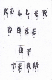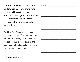James Patterson's teacher contest (and my failures to win grants for a classroom library) forced me to examine my feelings about teams and reasons that schools emphasize reaching out to form community partnerships.

For J.P.'s Alex Cross, a back-to-basics summary might be, "Stay safe and solve the murder mystery." For educators, the bottom line is being open to the creation of a bond each time we step into the role of teammate.

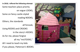**In 2018, I offered the following attempt:** Some teachers place priority on vogue LOOKS, Some on fancy castle-styled reading NOOKS, Others, the standards all forsook, Using ROOKS and CROOKS in the story's HOOKS, As for me, please forgive all my "misTOOKS," All I need to teach my kids: if you please, Patterson's BOOKS.

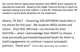Our school district appreciates teachers who WRiTE grant requests for educational materials. Based on the *Eagle Tribune's* article in which he boasted making more than LeBron, I wrote Mr. Patterson (he limits <50 words) to coerce book donations for my classroom.

Athens, TX 2017 - "Acquiring 100 DIFFERENT book titles is my dream for this year. My students NEED variety and choice. They FEEL affirmed—my formula for their SUCCESS— when I acknowledge their RIGHT to choose. I have personally purchased/requested books for them to build engagement; to continue I require synergistic partners. Thank you!" (That's fifty words plus one number.)

- 
- 
- 
- 
- 
-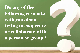Do any of the following resonate with you about trying to cooperate or collaborate with a person or group?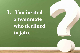1. You invited a teammate who declined to join.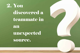2. You discovered a teammate in an unexpected source.